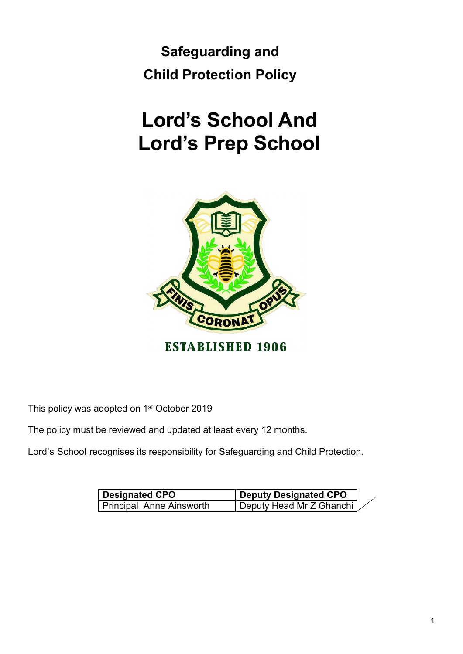**Safeguarding and Child Protection Policy**

# **Lord's School And Lord's Prep School**



**ESTABLISHED 1906** 

This policy was adopted on 1<sup>st</sup> October 2019

The policy must be reviewed and updated at least every 12 months.

Lord's School recognises its responsibility for Safeguarding and Child Protection.

| <b>Designated CPO</b>    | <b>Deputy Designated CPO</b> |  |
|--------------------------|------------------------------|--|
| Principal Anne Ainsworth | Deputy Head Mr Z Ghanchi     |  |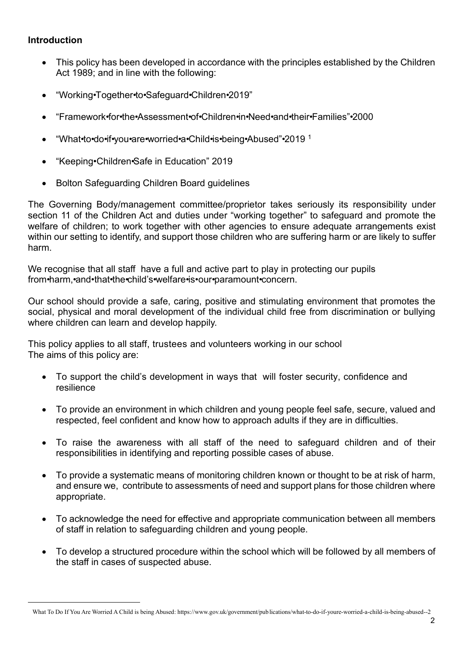# **Introduction**

- This policy has been developed in accordance with the principles established by the Children Act 1989; and in line with the following:
- · "Working•Together•to•Safeguard•Children•2019"
- · "Framework•for•the•Assessment•of•Children•in•Need•and•their•Families"•2000
- · "What•to•do•if•you•are•worried•a•Child•is•being•Abused"•2019 <sup>1</sup>
- · "Keeping•Children•Safe in Education" 2019
- · Bolton Safeguarding Children Board guidelines

The Governing Body/management committee/proprietor takes seriously its responsibility under section 11 of the Children Act and duties under "working together" to safeguard and promote the welfare of children; to work together with other agencies to ensure adequate arrangements exist within our setting to identify, and support those children who are suffering harm or are likely to suffer harm.

We recognise that all staff have a full and active part to play in protecting our pupils from•harm,•and•that•the•child's•welfare•is•our•paramount•concern.

Our school should provide a safe, caring, positive and stimulating environment that promotes the social, physical and moral development of the individual child free from discrimination or bullying where children can learn and develop happily.

This policy applies to all staff, trustees and volunteers working in our school The aims of this policy are:

- · To support the child's development in ways that will foster security, confidence and resilience
- · To provide an environment in which children and young people feel safe, secure, valued and respected, feel confident and know how to approach adults if they are in difficulties.
- · To raise the awareness with all staff of the need to safeguard children and of their responsibilities in identifying and reporting possible cases of abuse.
- · To provide a systematic means of monitoring children known or thought to be at risk of harm, and ensure we, contribute to assessments of need and support plans for those children where appropriate.
- · To acknowledge the need for effective and appropriate communication between all members of staff in relation to safeguarding children and young people.
- · To develop a structured procedure within the school which will be followed by all members of the staff in cases of suspected abuse.

What To Do If You Are Worried A Child is being Abused: https://www.gov.uk/government/pub lications/what-to-do-if-youre-worried-a-child-is-being-abused--2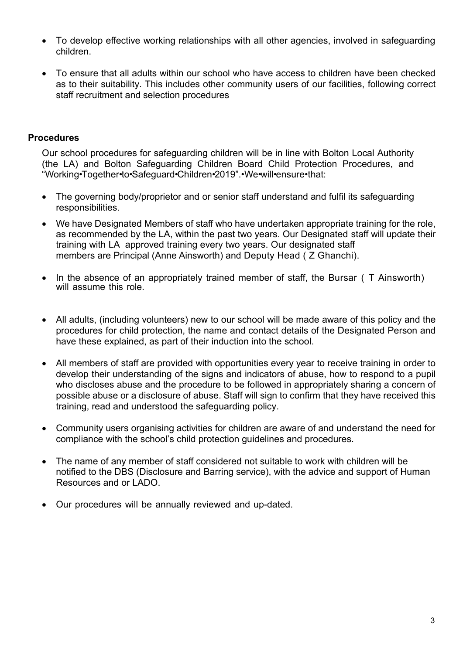- · To develop effective working relationships with all other agencies, involved in safeguarding children.
- · To ensure that all adults within our school who have access to children have been checked as to their suitability. This includes other community users of our facilities, following correct staff recruitment and selection procedures

# **Procedures**

Our school procedures for safeguarding children will be in line with Bolton Local Authority (the LA) and Bolton Safeguarding Children Board Child Protection Procedures, and "Working•Together•to•Safeguard•Children•2019".•We•will•ensure•that:

- The governing body/proprietor and or senior staff understand and fulfil its safeguarding responsibilities.
- · We have Designated Members of staff who have undertaken appropriate training for the role, as recommended by the LA, within the past two years. Our Designated staff will update their training with LA approved training every two years. Our designated staff members are Principal (Anne Ainsworth) and Deputy Head ( Z Ghanchi).
- In the absence of an appropriately trained member of staff, the Bursar (T Ainsworth) will assume this role.
- All adults, (including volunteers) new to our school will be made aware of this policy and the procedures for child protection, the name and contact details of the Designated Person and have these explained, as part of their induction into the school.
- · All members of staff are provided with opportunities every year to receive training in order to develop their understanding of the signs and indicators of abuse, how to respond to a pupil who discloses abuse and the procedure to be followed in appropriately sharing a concern of possible abuse or a disclosure of abuse. Staff will sign to confirm that they have received this training, read and understood the safeguarding policy.
- · Community users organising activities for children are aware of and understand the need for compliance with the school's child protection guidelines and procedures.
- The name of any member of staff considered not suitable to work with children will be notified to the DBS (Disclosure and Barring service), with the advice and support of Human Resources and or LADO.
- · Our procedures will be annually reviewed and up-dated.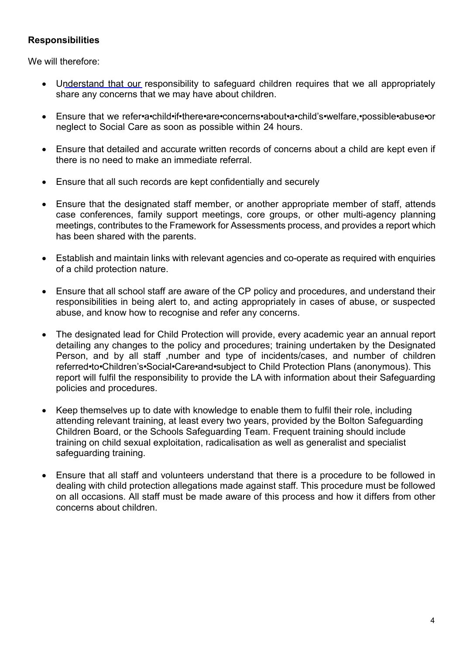# **Responsibilities**

We will therefore:

- · Understand that our responsibility to safeguard children requires that we all appropriately share any concerns that we may have about children.
- · Ensure that we refer•a•child•if•there•are•concerns•about•a•child's•welfare,•possible•abuse•or neglect to Social Care as soon as possible within 24 hours.
- · Ensure that detailed and accurate written records of concerns about a child are kept even if there is no need to make an immediate referral.
- Ensure that all such records are kept confidentially and securely
- · Ensure that the designated staff member, or another appropriate member of staff, attends case conferences, family support meetings, core groups, or other multi-agency planning meetings, contributes to the Framework for Assessments process, and provides a report which has been shared with the parents.
- · Establish and maintain links with relevant agencies and co-operate as required with enquiries of a child protection nature.
- · Ensure that all school staff are aware of the CP policy and procedures, and understand their responsibilities in being alert to, and acting appropriately in cases of abuse, or suspected abuse, and know how to recognise and refer any concerns.
- The designated lead for Child Protection will provide, every academic year an annual report detailing any changes to the policy and procedures; training undertaken by the Designated Person, and by all staff ,number and type of incidents/cases, and number of children referred•to•Children's•Social•Care•and•subject to Child Protection Plans (anonymous). This report will fulfil the responsibility to provide the LA with information about their Safeguarding policies and procedures.
- Keep themselves up to date with knowledge to enable them to fulfil their role, including attending relevant training, at least every two years, provided by the Bolton Safeguarding Children Board, or the Schools Safeguarding Team. Frequent training should include training on child sexual exploitation, radicalisation as well as generalist and specialist safeguarding training.
- · Ensure that all staff and volunteers understand that there is a procedure to be followed in dealing with child protection allegations made against staff. This procedure must be followed on all occasions. All staff must be made aware of this process and how it differs from other concerns about children.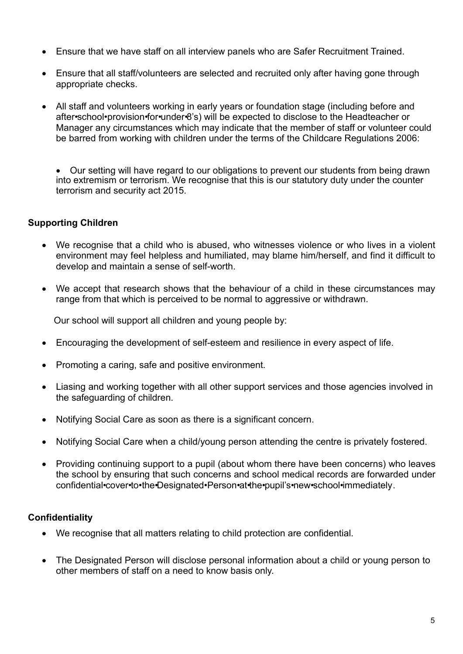- · Ensure that we have staff on all interview panels who are Safer Recruitment Trained.
- · Ensure that all staff/volunteers are selected and recruited only after having gone through appropriate checks.
- · All staff and volunteers working in early years or foundation stage (including before and after•school•provision•for•under•8's) will be expected to disclose to the Headteacher or Manager any circumstances which may indicate that the member of staff or volunteer could be barred from working with children under the terms of the Childcare Regulations 2006:

· Our setting will have regard to our obligations to prevent our students from being drawn into extremism or terrorism. We recognise that this is our statutory duty under the counter terrorism and security act 2015.

# **Supporting Children**

- · We recognise that a child who is abused, who witnesses violence or who lives in a violent environment may feel helpless and humiliated, may blame him/herself, and find it difficult to develop and maintain a sense of self-worth.
- · We accept that research shows that the behaviour of a child in these circumstances may range from that which is perceived to be normal to aggressive or withdrawn.

Our school will support all children and young people by:

- · Encouraging the development of self-esteem and resilience in every aspect of life.
- Promoting a caring, safe and positive environment.
- Liasing and working together with all other support services and those agencies involved in the safeguarding of children.
- · Notifying Social Care as soon as there is a significant concern.
- Notifying Social Care when a child/young person attending the centre is privately fostered.
- · Providing continuing support to a pupil (about whom there have been concerns) who leaves the school by ensuring that such concerns and school medical records are forwarded under confidential•cover•to•the•Designated•Person•at•the•pupil's•new•school•immediately.

#### **Confidentiality**

- · We recognise that all matters relating to child protection are confidential.
- · The Designated Person will disclose personal information about a child or young person to other members of staff on a need to know basis only.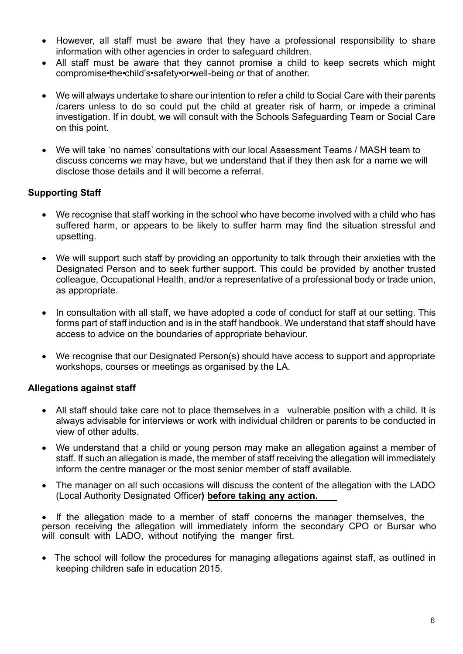- · However, all staff must be aware that they have a professional responsibility to share information with other agencies in order to safeguard children.
- All staff must be aware that they cannot promise a child to keep secrets which might compromise•the•child's•safety•or•well-being or that of another.
- · We will always undertake to share our intention to refer a child to Social Care with their parents /carers unless to do so could put the child at greater risk of harm, or impede a criminal investigation. If in doubt, we will consult with the Schools Safeguarding Team or Social Care on this point.
- · We will take 'no names' consultations with our local Assessment Teams / MASH team to discuss concerns we may have, but we understand that if they then ask for a name we will disclose those details and it will become a referral.

# **Supporting Staff**

- · We recognise that staff working in the school who have become involved with a child who has suffered harm, or appears to be likely to suffer harm may find the situation stressful and upsetting.
- We will support such staff by providing an opportunity to talk through their anxieties with the Designated Person and to seek further support. This could be provided by another trusted colleague, Occupational Health, and/or a representative of a professional body or trade union, as appropriate.
- In consultation with all staff, we have adopted a code of conduct for staff at our setting. This forms part of staff induction and is in the staff handbook. We understand that staff should have access to advice on the boundaries of appropriate behaviour.
- · We recognise that our Designated Person(s) should have access to support and appropriate workshops, courses or meetings as organised by the LA.

# **Allegations against staff**

- · All staff should take care not to place themselves in a vulnerable position with a child. It is always advisable for interviews or work with individual children or parents to be conducted in view of other adults.
- · We understand that a child or young person may make an allegation against a member of staff. If such an allegation is made, the member of staff receiving the allegation will immediately inform the centre manager or the most senior member of staff available.
- · The manager on all such occasions will discuss the content of the allegation with the LADO (Local Authority Designated Officer**) before taking any action.**

· If the allegation made to a member of staff concerns the manager themselves, the person receiving the allegation will immediately inform the secondary CPO or Bursar who will consult with LADO, without notifying the manger first.

• The school will follow the procedures for managing allegations against staff, as outlined in keeping children safe in education 2015.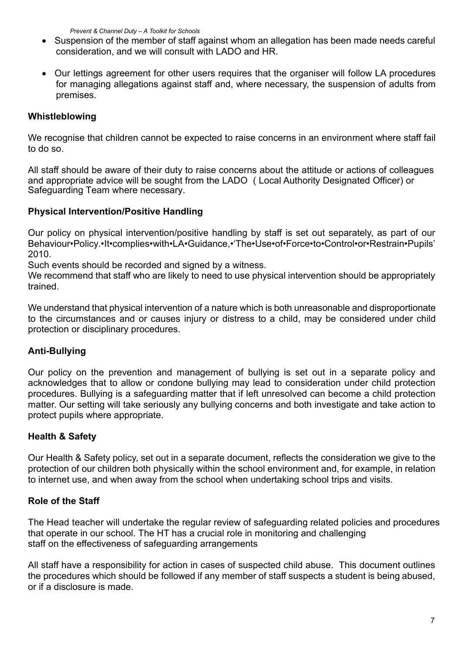*Prevent & Channel Duty – A Toolkit for Schools*

- · Suspension of the member of staff against whom an allegation has been made needs careful consideration, and we will consult with LADO and HR.
- · Our lettings agreement for other users requires that the organiser will follow LA procedures for managing allegations against staff and, where necessary, the suspension of adults from premises.

# **Whistleblowing**

We recognise that children cannot be expected to raise concerns in an environment where staff fail to do so.

All staff should be aware of their duty to raise concerns about the attitude or actions of colleagues and appropriate advice will be sought from the LADO ( Local Authority Designated Officer) or Safeguarding Team where necessary.

#### **Physical Intervention/Positive Handling**

Our policy on physical intervention/positive handling by staff is set out separately, as part of our Behaviour•Policy.•It•complies•with•LA•Guidance,•'The•Use•of•Force•to•Control•or•Restrain•Pupils' 2010.

Such events should be recorded and signed by a witness.

We recommend that staff who are likely to need to use physical intervention should be appropriately trained.

We understand that physical intervention of a nature which is both unreasonable and disproportionate to the circumstances and or causes injury or distress to a child, may be considered under child protection or disciplinary procedures.

# **Anti-Bullying**

Our policy on the prevention and management of bullying is set out in a separate policy and acknowledges that to allow or condone bullying may lead to consideration under child protection procedures. Bullying is a safeguarding matter that if left unresolved can become a child protection matter. Our setting will take seriously any bullying concerns and both investigate and take action to protect pupils where appropriate.

# **Health & Safety**

Our Health & Safety policy, set out in a separate document, reflects the consideration we give to the protection of our children both physically within the school environment and, for example, in relation to internet use, and when away from the school when undertaking school trips and visits.

# **Role of the Staff**

The Head teacher will undertake the regular review of safeguarding related policies and procedures that operate in our school. The HT has a crucial role in monitoring and challenging staff on the effectiveness of safeguarding arrangements

All staff have a responsibility for action in cases of suspected child abuse. This document outlines the procedures which should be followed if any member of staff suspects a student is being abused, or if a disclosure is made.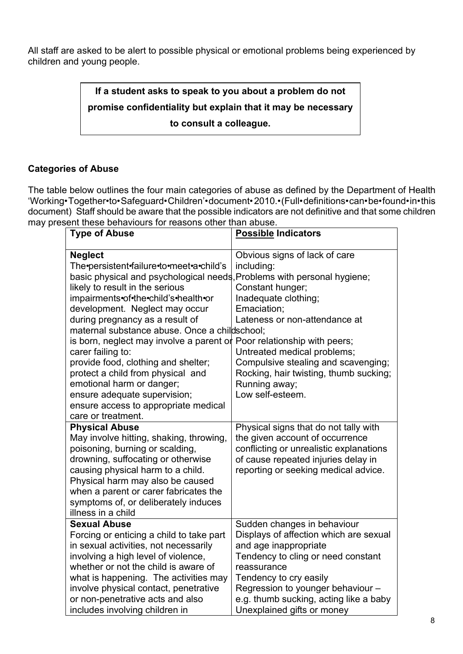All staff are asked to be alert to possible physical or emotional problems being experienced by children and young people.

> **If a student asks to speak to you about a problem do not promise confidentiality but explain that it may be necessary to consult a colleague.**

# **Categories of Abuse**

The table below outlines the four main categories of abuse as defined by the Department of Health 'Working•Together•to•Safeguard•Children'•document•2010.•(Full•definitions•can•be•found•in•this document) Staff should be aware that the possible indicators are not definitive and that some children may present these behaviours for reasons other than abuse.

| <b>Type of Abuse</b>                                                                                                                                                                                                                                                                                                                                                                                                                                                                                                                                                                                                                         | <b>Possible Indicators</b>                                                                                                                                                                                                                                                                   |
|----------------------------------------------------------------------------------------------------------------------------------------------------------------------------------------------------------------------------------------------------------------------------------------------------------------------------------------------------------------------------------------------------------------------------------------------------------------------------------------------------------------------------------------------------------------------------------------------------------------------------------------------|----------------------------------------------------------------------------------------------------------------------------------------------------------------------------------------------------------------------------------------------------------------------------------------------|
| <b>Neglect</b><br>The persistent failure to meet a child's<br>basic physical and psychological needs, Problems with personal hygiene;<br>likely to result in the serious<br>impairments•of•the•child's•health•or<br>development. Neglect may occur<br>during pregnancy as a result of<br>maternal substance abuse. Once a childschool;<br>is born, neglect may involve a parent or Poor relationship with peers;<br>carer failing to:<br>provide food, clothing and shelter;<br>protect a child from physical and<br>emotional harm or danger;<br>ensure adequate supervision;<br>ensure access to appropriate medical<br>care or treatment. | Obvious signs of lack of care<br>including:<br>Constant hunger;<br>Inadequate clothing;<br>Emaciation;<br>Lateness or non-attendance at<br>Untreated medical problems;<br>Compulsive stealing and scavenging;<br>Rocking, hair twisting, thumb sucking;<br>Running away;<br>Low self-esteem. |
| <b>Physical Abuse</b><br>May involve hitting, shaking, throwing,<br>poisoning, burning or scalding,<br>drowning, suffocating or otherwise<br>causing physical harm to a child.<br>Physical harm may also be caused<br>when a parent or carer fabricates the<br>symptoms of, or deliberately induces<br>illness in a child                                                                                                                                                                                                                                                                                                                    | Physical signs that do not tally with<br>the given account of occurrence<br>conflicting or unrealistic explanations<br>of cause repeated injuries delay in<br>reporting or seeking medical advice.                                                                                           |
| <b>Sexual Abuse</b><br>Forcing or enticing a child to take part<br>in sexual activities, not necessarily<br>involving a high level of violence,<br>whether or not the child is aware of<br>what is happening. The activities may<br>involve physical contact, penetrative<br>or non-penetrative acts and also<br>includes involving children in                                                                                                                                                                                                                                                                                              | Sudden changes in behaviour<br>Displays of affection which are sexual<br>and age inappropriate<br>Tendency to cling or need constant<br>reassurance<br>Tendency to cry easily<br>Regression to younger behaviour -<br>e.g. thumb sucking, acting like a baby<br>Unexplained gifts or money   |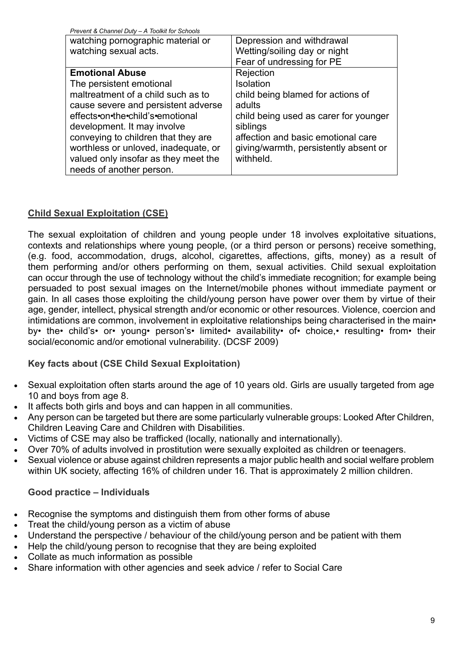| Prevent & Channel Duty - A Toolkit for Schools |                                       |
|------------------------------------------------|---------------------------------------|
| watching pornographic material or              | Depression and withdrawal             |
| watching sexual acts.                          | Wetting/soiling day or night          |
|                                                | Fear of undressing for PE             |
| <b>Emotional Abuse</b>                         | Rejection                             |
| The persistent emotional                       | Isolation                             |
| maltreatment of a child such as to             | child being blamed for actions of     |
| cause severe and persistent adverse            | adults                                |
| effects•on•the•child's•emotional               | child being used as carer for younger |
| development. It may involve                    | siblings                              |
| conveying to children that they are            | affection and basic emotional care    |
| worthless or unloved, inadequate, or           | giving/warmth, persistently absent or |
| valued only insofar as they meet the           | withheld.                             |
| needs of another person.                       |                                       |

# **Child Sexual Exploitation (CSE)**

The sexual exploitation of children and young people under 18 involves exploitative situations, contexts and relationships where young people, (or a third person or persons) receive something, (e.g. food, accommodation, drugs, alcohol, cigarettes, affections, gifts, money) as a result of them performing and/or others performing on them, sexual activities. Child sexual exploitation can occur through the use of technology without the child's immediate recognition; for example being persuaded to post sexual images on the Internet/mobile phones without immediate payment or gain. In all cases those exploiting the child/young person have power over them by virtue of their age, gender, intellect, physical strength and/or economic or other resources. Violence, coercion and intimidations are common, involvement in exploitative relationships being characterised in the main• by• the• child's• or• young• person's• limited• availability• of• choice,• resulting• from• their social/economic and/or emotional vulnerability. (DCSF 2009)

# **Key facts about (CSE Child Sexual Exploitation)**

- Sexual exploitation often starts around the age of 10 years old. Girls are usually targeted from age 10 and boys from age 8.
- It affects both girls and boys and can happen in all communities.
- · Any person can be targeted but there are some particularly vulnerable groups: Looked After Children, Children Leaving Care and Children with Disabilities.
- · Victims of CSE may also be trafficked (locally, nationally and internationally).
- · Over 70% of adults involved in prostitution were sexually exploited as children or teenagers.
- Sexual violence or abuse against children represents a major public health and social welfare problem within UK society, affecting 16% of children under 16. That is approximately 2 million children.

# **Good practice – Individuals**

- · Recognise the symptoms and distinguish them from other forms of abuse
- Treat the child/young person as a victim of abuse
- Understand the perspective / behaviour of the child/young person and be patient with them
- Help the child/young person to recognise that they are being exploited
- Collate as much information as possible
- Share information with other agencies and seek advice / refer to Social Care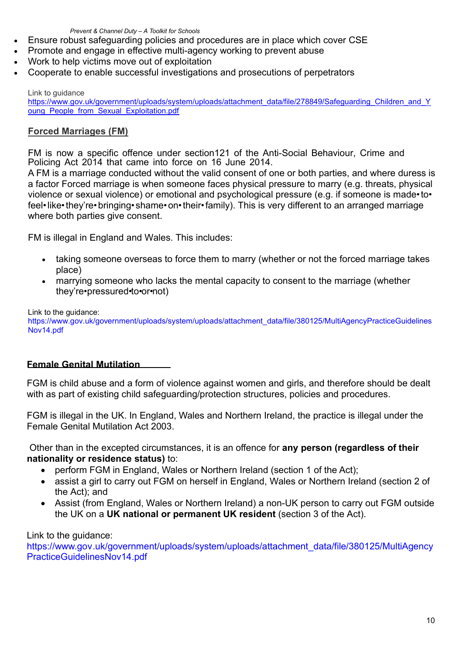*Prevent & Channel Duty – A Toolkit for Schools*

- · Ensure robust safeguarding policies and procedures are in place which cover CSE
- Promote and engage in effective multi-agency working to prevent abuse
- Work to help victims move out of exploitation
- · Cooperate to enable successful investigations and prosecutions of perpetrators

Link to guidance

https://www.gov.uk/government/uploads/system/uploads/attachment\_data/file/278849/Safeguarding\_Children\_and\_Y oung People from Sexual Exploitation.pdf

# **Forced Marriages (FM)**

FM is now a specific offence under section121 of the Anti-Social Behaviour, Crime and Policing Act 2014 that came into force on 16 June 2014.

A FM is a marriage conducted without the valid consent of one or both parties, and where duress is a factor Forced marriage is when someone faces physical pressure to marry (e.g. threats, physical violence or sexual violence) or emotional and psychological pressure (e.g. if someone is made• to• feel• like• they're• bringing• shame• on• their• family). This is very different to an arranged marriage where both parties give consent.

FM is illegal in England and Wales. This includes:

- taking someone overseas to force them to marry (whether or not the forced marriage takes place)
- marrying someone who lacks the mental capacity to consent to the marriage (whether they're•pressured•to•or•not)

Link to the guidance:

https://www.gov.uk/government/uploads/system/uploads/attachment\_data/file/380125/MultiAgencyPracticeGuidelines Nov14.pdf

#### **Female Genital Mutilation**

FGM is child abuse and a form of violence against women and girls, and therefore should be dealt with as part of existing child safeguarding/protection structures, policies and procedures.

FGM is illegal in the UK. In England, Wales and Northern Ireland, the practice is illegal under the Female Genital Mutilation Act 2003.

Other than in the excepted circumstances, it is an offence for **any person (regardless of their nationality or residence status)** to:

- perform FGM in England, Wales or Northern Ireland (section 1 of the Act);
- assist a girl to carry out FGM on herself in England, Wales or Northern Ireland (section 2 of the Act); and
- Assist (from England, Wales or Northern Ireland) a non-UK person to carry out FGM outside the UK on a **UK national or permanent UK resident** (section 3 of the Act).

Link to the guidance:

https://www.gov.uk/government/uploads/system/uploads/attachment\_data/file/380125/MultiAgency PracticeGuidelinesNov14.pdf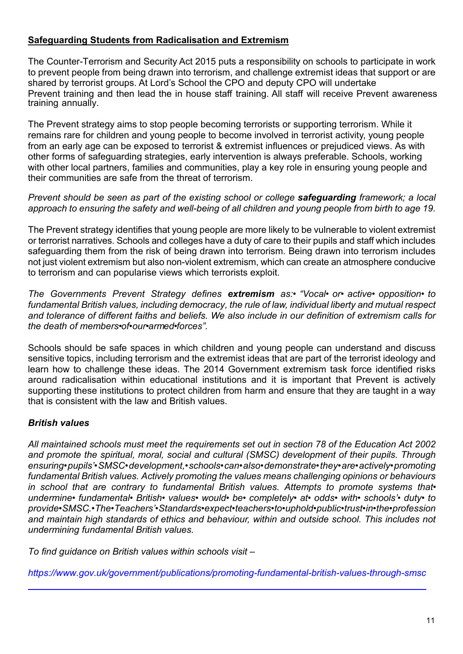# **Safeguarding Students from Radicalisation and Extremism**

The Counter-Terrorism and Security Act 2015 puts a responsibility on schools to participate in work to prevent people from being drawn into terrorism, and challenge extremist ideas that support or are shared by terrorist groups. At Lord's School the CPO and deputy CPO will undertake Prevent training and then lead the in house staff training. All staff will receive Prevent awareness training annually.

The Prevent strategy aims to stop people becoming terrorists or supporting terrorism. While it remains rare for children and young people to become involved in terrorist activity, young people from an early age can be exposed to terrorist & extremist influences or prejudiced views. As with other forms of safeguarding strategies, early intervention is always preferable. Schools, working with other local partners, families and communities, play a key role in ensuring young people and their communities are safe from the threat of terrorism.

*Prevent should be seen as part of the existing school or college safeguarding framework; a local approach to ensuring the safety and well-being of all children and young people from birth to age 19.*

The Prevent strategy identifies that young people are more likely to be vulnerable to violent extremist or terrorist narratives. Schools and colleges have a duty of care to their pupils and staff which includes safeguarding them from the risk of being drawn into terrorism. Being drawn into terrorism includes not just violent extremism but also non-violent extremism, which can create an atmosphere conducive to terrorism and can popularise views which terrorists exploit.

*The Governments Prevent Strategy defines extremism as:• "Vocal• or• active• opposition• to fundamental British values, including democracy, the rule of law, individual liberty and mutual respect and tolerance of different faiths and beliefs. We also include in our definition of extremism calls for the death of members•of•our•armed•forces".*

Schools should be safe spaces in which children and young people can understand and discuss sensitive topics, including terrorism and the extremist ideas that are part of the terrorist ideology and learn how to challenge these ideas. The 2014 Government extremism task force identified risks around radicalisation within educational institutions and it is important that Prevent is actively supporting these institutions to protect children from harm and ensure that they are taught in a way that is consistent with the law and British values.

# *British values*

*All maintained schools must meet the requirements set out in section 78 of the Education Act 2002 and promote the spiritual, moral, social and cultural (SMSC) development of their pupils. Through ensuring•pupils'•SMSC•development,•schools•can•also•demonstrate•they•are•actively•promoting fundamental British values. Actively promoting the values means challenging opinions or behaviours in school that are contrary to fundamental British values. Attempts to promote systems that• undermine• fundamental• British• values• would• be• completely• at• odds• with• schools'• duty• to provide•SMSC.•The•Teachers'•Standards•expect•teachers•to•uphold•public•trust•in•the•profession and maintain high standards of ethics and behaviour, within and outside school. This includes not undermining fundamental British values.*

*To find guidance on British values within schools visit –*

*https://www.gov.uk/government/publications/promoting-fundamental-british-values-through-smsc*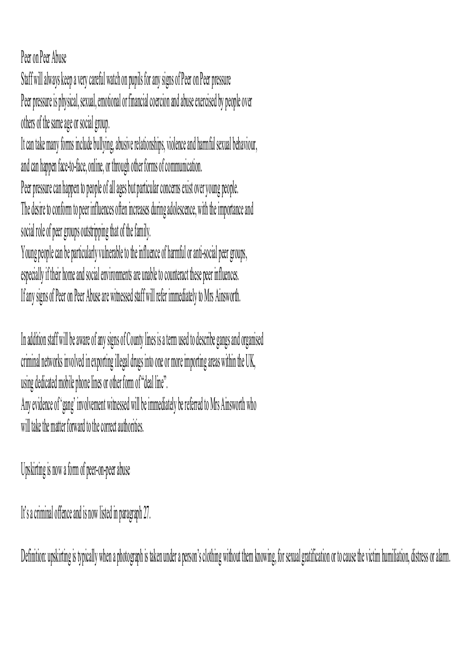Peer on Peer Abuse

Staff will always keep a very careful watch on pupils for any signs of Peer on Peer pressure Peer pressure is physical, sexual, emotional or financial coercion and abuse exercised by people over others of the same age or social group.

It can take many forms include bullying, abusive relationships, violence and harmful sexual behaviour, and can happen face-to-face, online, or through other forms of communication.

Peer pressure can happen to people of all ages but particular concerns exist over young people. The desire to conform to peer influences often increases during adolescence, with the importance and social role of peer groups outstripping that of the family.

Young people can be particularly vulnerable to the influence of harmful or anti-social peer groups, especially if their home and social environments are unable to counteract these peer influences. If any signs of Peer on Peer Abuse are witnessed staff will refer immediately to Mrs Ainsworth.

In addition staff will be aware of any signs of County lines is a term used to describe gangs and organised criminal networks involved in exporting illegal drugs into one or more importing areas within the UK, using dedicated mobile phone lines or other form of "deal line".

Any evidence of 'gang' involvement witnessed will be immediately be referred to Mrs Ainsworth who will take the matter forward to the correct authorities.

Upskirting is now a form of peer-on-peer abuse

It's a criminal offence and is now listed in paragraph 27.

Definition: upskirting is typically when a photograph is taken under a person's clothing without them knowing, for sexual gratification or to cause the victim humiliation, distress or alarm.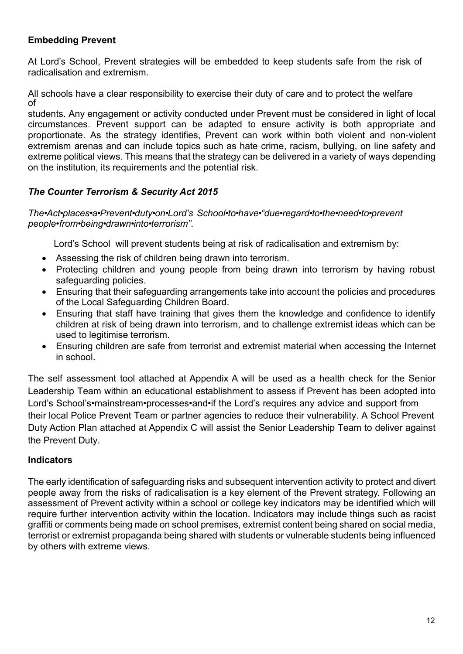# **Embedding Prevent**

At Lord's School, Prevent strategies will be embedded to keep students safe from the risk of radicalisation and extremism.

All schools have a clear responsibility to exercise their duty of care and to protect the welfare of

students. Any engagement or activity conducted under Prevent must be considered in light of local circumstances. Prevent support can be adapted to ensure activity is both appropriate and proportionate. As the strategy identifies, Prevent can work within both violent and non-violent extremism arenas and can include topics such as hate crime, racism, bullying, on line safety and extreme political views. This means that the strategy can be delivered in a variety of ways depending on the institution, its requirements and the potential risk.

# *The Counter Terrorism & Security Act 2015*

#### *The•Act•places•a•Prevent•duty•on•Lord's School•to•have•"due•regard•to•the•need•to•prevent people•from•being•drawn•into•terrorism".*

Lord's School will prevent students being at risk of radicalisation and extremism by:

- Assessing the risk of children being drawn into terrorism.
- Protecting children and young people from being drawn into terrorism by having robust safeguarding policies.
- · Ensuring that their safeguarding arrangements take into account the policies and procedures of the Local Safeguarding Children Board.
- · Ensuring that staff have training that gives them the knowledge and confidence to identify children at risk of being drawn into terrorism, and to challenge extremist ideas which can be used to legitimise terrorism.
- · Ensuring children are safe from terrorist and extremist material when accessing the Internet in school.

The self assessment tool attached at Appendix A will be used as a health check for the Senior Leadership Team within an educational establishment to assess if Prevent has been adopted into Lord's School's•mainstream•processes•and•if the Lord's requires any advice and support from their local Police Prevent Team or partner agencies to reduce their vulnerability. A School Prevent Duty Action Plan attached at Appendix C will assist the Senior Leadership Team to deliver against the Prevent Duty.

# **Indicators**

The early identification of safeguarding risks and subsequent intervention activity to protect and divert people away from the risks of radicalisation is a key element of the Prevent strategy. Following an assessment of Prevent activity within a school or college key indicators may be identified which will require further intervention activity within the location. Indicators may include things such as racist graffiti or comments being made on school premises, extremist content being shared on social media, terrorist or extremist propaganda being shared with students or vulnerable students being influenced by others with extreme views.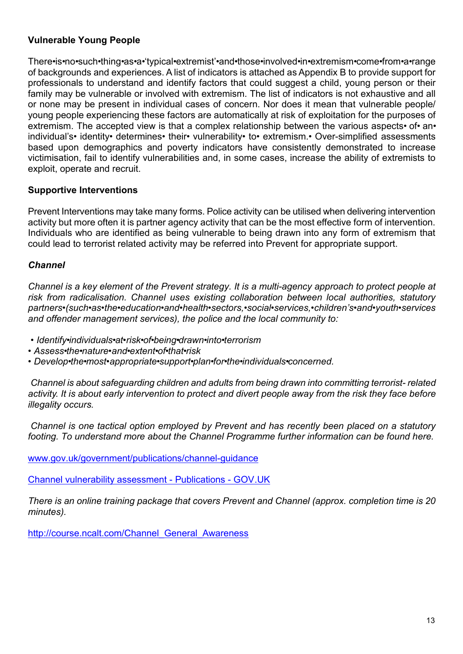# **Vulnerable Young People**

There•is•no•such•thing•as•a•'typical•extremist'•and•those•involved•in•extremism•come•from•a•range of backgrounds and experiences. A list of indicators is attached as Appendix B to provide support for professionals to understand and identify factors that could suggest a child, young person or their family may be vulnerable or involved with extremism. The list of indicators is not exhaustive and all or none may be present in individual cases of concern. Nor does it mean that vulnerable people/ young people experiencing these factors are automatically at risk of exploitation for the purposes of extremism. The accepted view is that a complex relationship between the various aspects• of• an• individual's• identity• determines• their• vulnerability• to• extremism.• Over-simplified assessments based upon demographics and poverty indicators have consistently demonstrated to increase victimisation, fail to identify vulnerabilities and, in some cases, increase the ability of extremists to exploit, operate and recruit.

#### **Supportive Interventions**

Prevent Interventions may take many forms. Police activity can be utilised when delivering intervention activity but more often it is partner agency activity that can be the most effective form of intervention. Individuals who are identified as being vulnerable to being drawn into any form of extremism that could lead to terrorist related activity may be referred into Prevent for appropriate support.

#### *Channel*

*Channel is a key element of the Prevent strategy. It is a multi-agency approach to protect people at risk from radicalisation. Channel uses existing collaboration between local authorities, statutory partners•(such•as•the•education•and•health•sectors,•social•services,•children's•and•youth•services and offender management services), the police and the local community to:*

- *• Identify•individuals•at•risk•of•being•drawn•into•terrorism*
- *• Assess•the•nature•and•extent•of•that•risk*
- *• Develop•the•most•appropriate•support•plan•for•the•individuals•concerned.*

*Channel is about safeguarding children and adults from being drawn into committing terrorist- related activity. It is about early intervention to protect and divert people away from the risk they face before illegality occurs.*

*Channel is one tactical option employed by Prevent and has recently been placed on a statutory footing. To understand more about the Channel Programme further information can be found here.*

www.gov.uk/government/publications/channel-guidance

Channel vulnerability assessment - Publications - GOV.UK

*There is an online training package that covers Prevent and Channel (approx. completion time is 20 minutes).*

http://course.ncalt.com/Channel\_General\_Awareness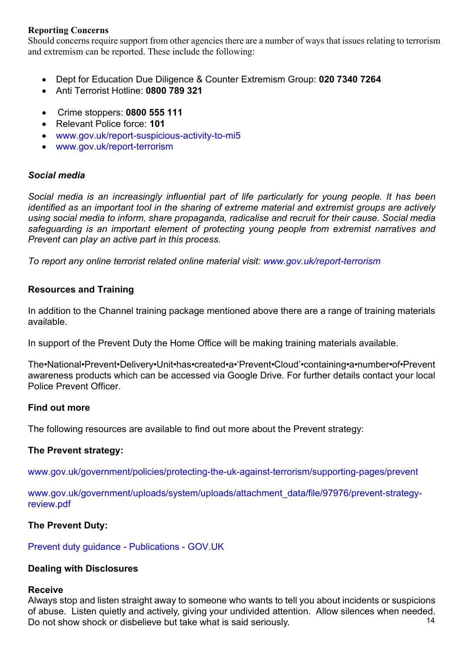#### **Reporting Concerns**

Should concerns require support from other agencies there are a number of ways that issues relating to terrorism and extremism can be reported. These include the following:

- · Dept for Education Due Diligence & Counter Extremism Group: **020 7340 7264**
- · Anti Terrorist Hotline: **0800 789 321**
- · Crime stoppers: **0800 555 111**
- · Relevant Police force: **101**
- · www.gov.uk/report-suspicious-activity-to-mi5
- · www.gov.uk/report-terrorism

#### *Social media*

*Social media is an increasingly influential part of life particularly for young people. It has been identified as an important tool in the sharing of extreme material and extremist groups are actively using social media to inform, share propaganda, radicalise and recruit for their cause. Social media safeguarding is an important element of protecting young people from extremist narratives and Prevent can play an active part in this process.*

*To report any online terrorist related online material visit: www.gov.uk/report-terrorism*

#### **Resources and Training**

In addition to the Channel training package mentioned above there are a range of training materials available.

In support of the Prevent Duty the Home Office will be making training materials available.

The•National•Prevent•Delivery•Unit•has•created•a•'Prevent•Cloud'•containing•a•number•of•Prevent awareness products which can be accessed via Google Drive. For further details contact your local Police Prevent Officer.

#### **Find out more**

The following resources are available to find out more about the Prevent strategy:

#### **The Prevent strategy:**

www.gov.uk/government/policies/protecting-the-uk-against-terrorism/supporting-pages/prevent

www.gov.uk/government/uploads/system/uploads/attachment\_data/file/97976/prevent-strategyreview.pdf

#### **The Prevent Duty:**

Prevent duty guidance - Publications - GOV.UK

#### **Dealing with Disclosures**

#### **Receive**

14 Always stop and listen straight away to someone who wants to tell you about incidents or suspicions of abuse. Listen quietly and actively, giving your undivided attention. Allow silences when needed. Do not show shock or disbelieve but take what is said seriously.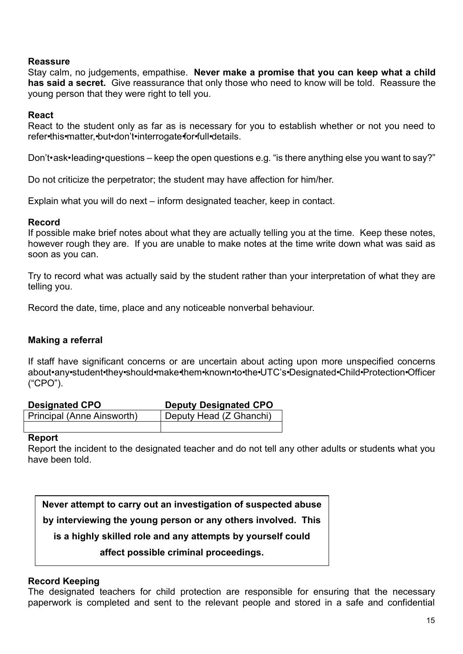#### **Reassure**

Stay calm, no judgements, empathise. **Never make a promise that you can keep what a child has said a secret.** Give reassurance that only those who need to know will be told. Reassure the young person that they were right to tell you.

#### **React**

React to the student only as far as is necessary for you to establish whether or not you need to refer•this•matter,•but•don't•interrogate•for•full•details.

Don't•ask•leading•questions – keep the open questions e.g. "is there anything else you want to say?"

Do not criticize the perpetrator; the student may have affection for him/her.

Explain what you will do next – inform designated teacher, keep in contact.

#### **Record**

If possible make brief notes about what they are actually telling you at the time. Keep these notes, however rough they are. If you are unable to make notes at the time write down what was said as soon as you can.

Try to record what was actually said by the student rather than your interpretation of what they are telling you.

Record the date, time, place and any noticeable nonverbal behaviour.

#### **Making a referral**

If staff have significant concerns or are uncertain about acting upon more unspecified concerns about•any•student•they•should•make•them•known•to•the•UTC's•Designated•Child•Protection•Officer ("CPO").

| <b>Designated CPO</b>      | <b>Deputy Designated CPO</b> |
|----------------------------|------------------------------|
| Principal (Anne Ainsworth) | Deputy Head (Z Ghanchi)      |
|                            |                              |

#### **Report**

Report the incident to the designated teacher and do not tell any other adults or students what you have been told.

**Never attempt to carry out an investigation of suspected abuse by interviewing the young person or any others involved. This is a highly skilled role and any attempts by yourself could affect possible criminal proceedings.**

#### **Record Keeping**

The designated teachers for child protection are responsible for ensuring that the necessary paperwork is completed and sent to the relevant people and stored in a safe and confidential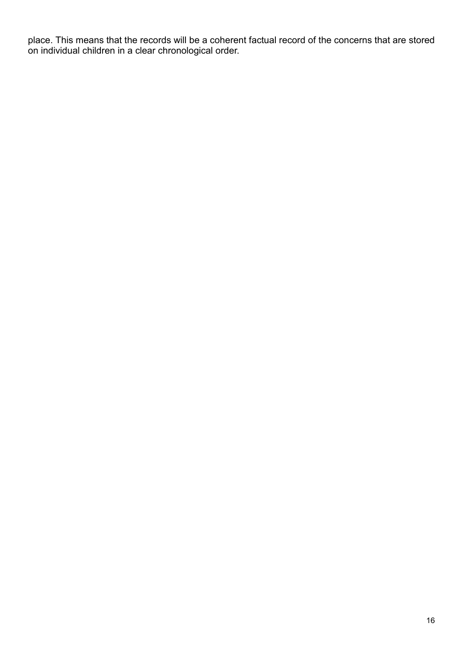place. This means that the records will be a coherent factual record of the concerns that are stored on individual children in a clear chronological order.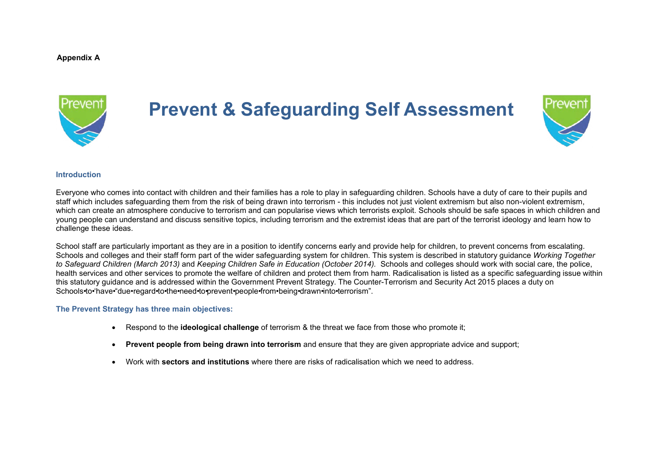**Appendix A**



# **Prevent & Safeguarding Self Assessment**



#### **Introduction**

Everyone who comes into contact with children and their families has a role to play in safeguarding children. Schools have a duty of care to their pupils and staff which includes safeguarding them from the risk of being drawn into terrorism - this includes not just violent extremism but also non-violent extremism, which can create an atmosphere conducive to terrorism and can popularise views which terrorists exploit. Schools should be safe spaces in which children and young people can understand and discuss sensitive topics, including terrorism and the extremist ideas that are part of the terrorist ideology and learn how to challenge these ideas.

School staff are particularly important as they are in a position to identify concerns early and provide help for children, to prevent concerns from escalating. Schools and colleges and their staff form part of the wider safeguarding system for children. This system is described in statutory guidance *Working Together to Safeguard Children (March 2013)* and *Keeping Children Safe in Education (October 2014).* Schools and colleges should work with social care, the police, health services and other services to promote the welfare of children and protect them from harm. Radicalisation is listed as a specific safeguarding issue within this statutory guidance and is addressed within the Government Prevent Strategy. The Counter-Terrorism and Security Act 2015 places a duty on Schools•to•'have•"due•regard•to•the•need•to•prevent•people•from•being•drawn•into•terrorism".

#### **The Prevent Strategy has three main objectives:**

- · Respond to the **ideological challenge** of terrorism & the threat we face from those who promote it;
- · **Prevent people from being drawn into terrorism** and ensure that they are given appropriate advice and support;
- · Work with **sectors and institutions** where there are risks of radicalisation which we need to address.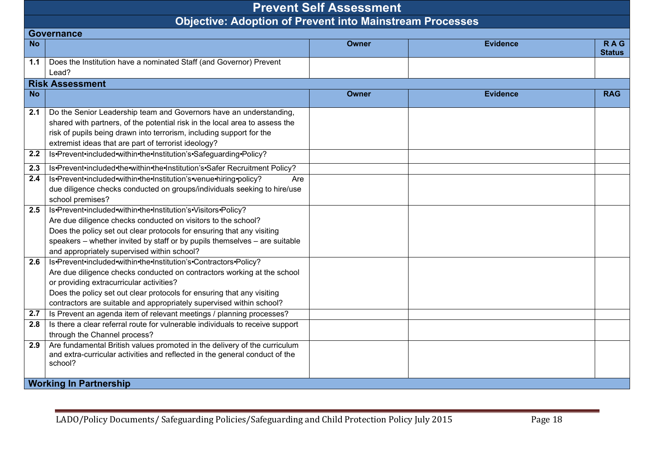|           | <b>Prevent Self Assessment</b>                                                                                                                                      |              |                 |                             |  |  |
|-----------|---------------------------------------------------------------------------------------------------------------------------------------------------------------------|--------------|-----------------|-----------------------------|--|--|
|           | <b>Objective: Adoption of Prevent into Mainstream Processes</b>                                                                                                     |              |                 |                             |  |  |
|           | <b>Governance</b>                                                                                                                                                   |              |                 |                             |  |  |
| <b>No</b> |                                                                                                                                                                     | <b>Owner</b> | <b>Evidence</b> | <b>RAG</b><br><b>Status</b> |  |  |
| 1.1       | Does the Institution have a nominated Staff (and Governor) Prevent                                                                                                  |              |                 |                             |  |  |
|           | Lead?                                                                                                                                                               |              |                 |                             |  |  |
|           | <b>Risk Assessment</b>                                                                                                                                              |              |                 |                             |  |  |
| <b>No</b> |                                                                                                                                                                     | <b>Owner</b> | <b>Evidence</b> | <b>RAG</b>                  |  |  |
| 2.1       | Do the Senior Leadership team and Governors have an understanding,                                                                                                  |              |                 |                             |  |  |
|           | shared with partners, of the potential risk in the local area to assess the                                                                                         |              |                 |                             |  |  |
|           | risk of pupils being drawn into terrorism, including support for the                                                                                                |              |                 |                             |  |  |
|           | extremist ideas that are part of terrorist ideology?                                                                                                                |              |                 |                             |  |  |
| 2.2       | Is•Prevent•included•within•the•Institution's•Safeguarding•Policy?                                                                                                   |              |                 |                             |  |  |
| 2.3       | Is•Prevent•included•the•within•the•Institution's•Safer Recruitment Policy?                                                                                          |              |                 |                             |  |  |
| 2.4       | Is•Prevent•included•within•the•Institution's•venue•hiring•policy?<br>Are                                                                                            |              |                 |                             |  |  |
|           | due diligence checks conducted on groups/individuals seeking to hire/use                                                                                            |              |                 |                             |  |  |
|           | school premises?                                                                                                                                                    |              |                 |                             |  |  |
| 2.5       | Is•Prevent•included•within•the•Institution's•Visitors•Policy?                                                                                                       |              |                 |                             |  |  |
|           | Are due diligence checks conducted on visitors to the school?                                                                                                       |              |                 |                             |  |  |
|           | Does the policy set out clear protocols for ensuring that any visiting                                                                                              |              |                 |                             |  |  |
|           | speakers - whether invited by staff or by pupils themselves - are suitable                                                                                          |              |                 |                             |  |  |
|           | and appropriately supervised within school?                                                                                                                         |              |                 |                             |  |  |
| 2.6       | Is•Prevent•included•within•the•Institution's•Contractors•Policy?                                                                                                    |              |                 |                             |  |  |
|           | Are due diligence checks conducted on contractors working at the school                                                                                             |              |                 |                             |  |  |
|           | or providing extracurricular activities?                                                                                                                            |              |                 |                             |  |  |
|           | Does the policy set out clear protocols for ensuring that any visiting                                                                                              |              |                 |                             |  |  |
|           | contractors are suitable and appropriately supervised within school?                                                                                                |              |                 |                             |  |  |
| 2.7       | Is Prevent an agenda item of relevant meetings / planning processes?                                                                                                |              |                 |                             |  |  |
| 2.8       | Is there a clear referral route for vulnerable individuals to receive support                                                                                       |              |                 |                             |  |  |
|           | through the Channel process?                                                                                                                                        |              |                 |                             |  |  |
| 2.9       | Are fundamental British values promoted in the delivery of the curriculum<br>and extra-curricular activities and reflected in the general conduct of the<br>school? |              |                 |                             |  |  |
|           | <b>Working In Partnership</b>                                                                                                                                       |              |                 |                             |  |  |
|           |                                                                                                                                                                     |              |                 |                             |  |  |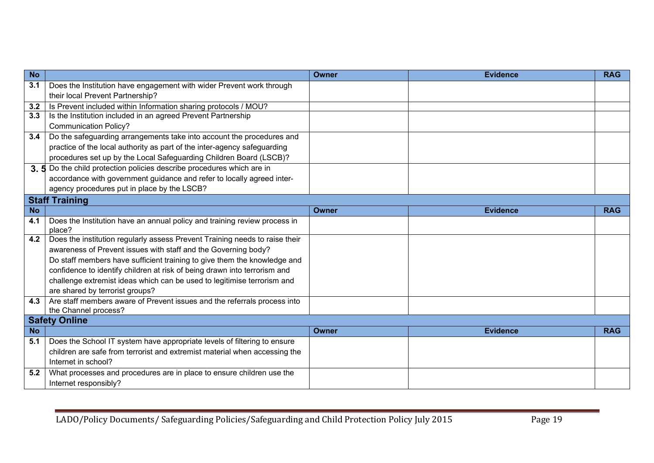| <b>No</b> |                                                                             | <b>Owner</b> | <b>Evidence</b> | <b>RAG</b> |
|-----------|-----------------------------------------------------------------------------|--------------|-----------------|------------|
| 3.1       | Does the Institution have engagement with wider Prevent work through        |              |                 |            |
|           | their local Prevent Partnership?                                            |              |                 |            |
| 3.2       | Is Prevent included within Information sharing protocols / MOU?             |              |                 |            |
| 3.3       | Is the Institution included in an agreed Prevent Partnership                |              |                 |            |
|           | <b>Communication Policy?</b>                                                |              |                 |            |
| 3.4       | Do the safeguarding arrangements take into account the procedures and       |              |                 |            |
|           | practice of the local authority as part of the inter-agency safeguarding    |              |                 |            |
|           | procedures set up by the Local Safeguarding Children Board (LSCB)?          |              |                 |            |
|           | 3.5 Do the child protection policies describe procedures which are in       |              |                 |            |
|           | accordance with government guidance and refer to locally agreed inter-      |              |                 |            |
|           | agency procedures put in place by the LSCB?                                 |              |                 |            |
|           | <b>Staff Training</b>                                                       |              |                 |            |
| <b>No</b> |                                                                             | <b>Owner</b> | <b>Evidence</b> | <b>RAG</b> |
| 4.1       | Does the Institution have an annual policy and training review process in   |              |                 |            |
|           | place?                                                                      |              |                 |            |
| 4.2       | Does the institution regularly assess Prevent Training needs to raise their |              |                 |            |
|           | awareness of Prevent issues with staff and the Governing body?              |              |                 |            |
|           | Do staff members have sufficient training to give them the knowledge and    |              |                 |            |
|           | confidence to identify children at risk of being drawn into terrorism and   |              |                 |            |
|           | challenge extremist ideas which can be used to legitimise terrorism and     |              |                 |            |
|           | are shared by terrorist groups?                                             |              |                 |            |
| 4.3       | Are staff members aware of Prevent issues and the referrals process into    |              |                 |            |
|           | the Channel process?                                                        |              |                 |            |
|           | <b>Safety Online</b>                                                        |              |                 |            |
| <b>No</b> |                                                                             | Owner        | <b>Evidence</b> | <b>RAG</b> |
| 5.1       | Does the School IT system have appropriate levels of filtering to ensure    |              |                 |            |
|           | children are safe from terrorist and extremist material when accessing the  |              |                 |            |
|           | Internet in school?                                                         |              |                 |            |
| 5.2       | What processes and procedures are in place to ensure children use the       |              |                 |            |
|           | Internet responsibly?                                                       |              |                 |            |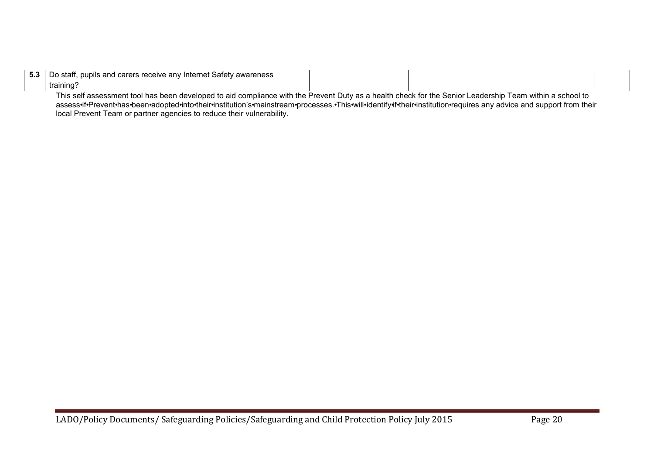| ึง.ง | ∍stafl<br>an∖<br>awareness '<br>pupils and<br>Inter.<br>Sate<br>∣ ∩arare<br>me.<br><b>valt</b><br>◡ |  |  |
|------|-----------------------------------------------------------------------------------------------------|--|--|
|      | training                                                                                            |  |  |

This self assessment tool has been developed to aid compliance with the Prevent Duty as a health check for the Senior Leadership Team within a school to assess•if•Prevent•has•been•adopted•into•their•institution's•mainstream•processes.•This•will•identify•if•their•institution•requires any advice and support from their local Prevent Team or partner agencies to reduce their vulnerability.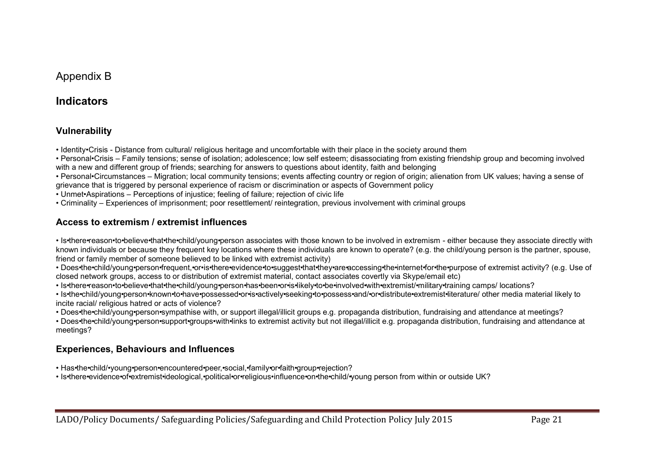# Appendix B

# **Indicators**

## **Vulnerability**

• Identity•Crisis - Distance from cultural/ religious heritage and uncomfortable with their place in the society around them

• Personal•Crisis – Family tensions; sense of isolation; adolescence; low self esteem; disassociating from existing friendship group and becoming involved with a new and different group of friends; searching for answers to questions about identity, faith and belonging

• Personal•Circumstances – Migration; local community tensions; events affecting country or region of origin; alienation from UK values; having a sense of grievance that is triggered by personal experience of racism or discrimination or aspects of Government policy

• Unmet•Aspirations – Perceptions of injustice; feeling of failure; rejection of civic life

• Criminality – Experiences of imprisonment; poor resettlement/ reintegration, previous involvement with criminal groups

## **Access to extremism / extremist influences**

• Is•there•reason•to•believe•that•the•child/young•person associates with those known to be involved in extremism - either because they associate directly with known individuals or because they frequent key locations where these individuals are known to operate? (e.g. the child/young person is the partner, spouse, friend or family member of someone believed to be linked with extremist activity)

• Does•the•child/young•person•frequent,•or•is•there•evidence•to•suggest•that•they•are•accessing•the•internet•for•the•purpose of extremist activity? (e.g. Use of closed network groups, access to or distribution of extremist material, contact associates covertly via Skype/email etc)

• Is•there•reason•to•believe•that•the•child/young•person•has•been•or•is•likely•to•be•involved•with•extremist/•military•training camps/ locations?

• Is•the•child/young•person•known•to•have•possessed•or•is•actively•seeking•to•possess•and/•or•distribute•extremist•literature/ other media material likely to incite racial/ religious hatred or acts of violence?

• Does•the•child/young•person•sympathise with, or support illegal/illicit groups e.g. propaganda distribution, fundraising and attendance at meetings?

• Does•the•child/young•person•support•groups•with•links to extremist activity but not illegal/illicit e.g. propaganda distribution, fundraising and attendance at meetings?

# **Experiences, Behaviours and Influences**

- Has•the•child/•young•person•encountered•peer,•social,•family•or•faith•group•rejection?
- Is•there•evidence•of•extremist•ideological,•political•or•religious•influence•on•the•child/•young person from within or outside UK?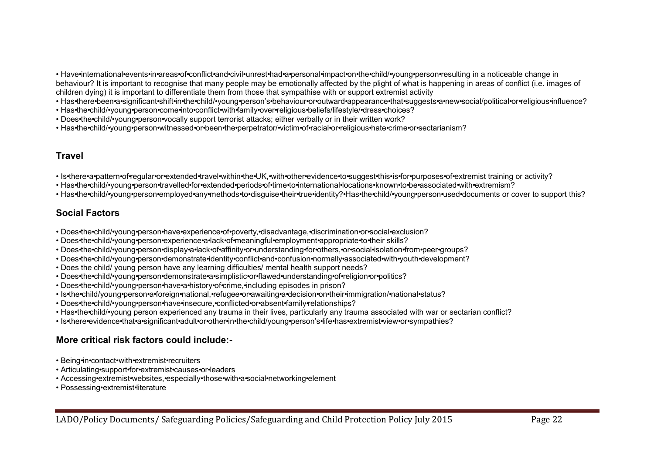• Have•international•events•in•areas•of•conflict•and•civil•unrest•had•a•personal•impact•on•the•child/•young•person•resulting in a noticeable change in behaviour? It is important to recognise that many people may be emotionally affected by the plight of what is happening in areas of conflict (i.e. images of children dying) it is important to differentiate them from those that sympathise with or support extremist activity

• Has•there•been•a•significant•shift•in•the•child/•young•person's•behaviour•or•outward•appearance•that•suggests•a•new•social/political•or•religious•influence?

- Has•the•child/•young•person•come•into•conflict•with•family•over•religious•beliefs/lifestyle/•dress•choices?
- Does•the•child/•young•person•vocally support terrorist attacks; either verbally or in their written work?
- Has•the•child/•young•person•witnessed•or•been•the•perpetrator/•victim•of•racial•or•religious•hate•crime•or•sectarianism?

## **Travel**

- Is•there•a•pattern•of•regular•or•extended•travel•within•the•UK,•with•other•evidence•to•suggest•this•is•for•purposes•of•extremist training or activity?
- Has•the•child/•young•person•travelled•for•extended•periods•of•time•to•international•locations•known•to•be•associated•with•extremism?
- Has•the•child/•young•person•employed•any•methods•to•disguise•their•true•identity?•Has•the•child/•young•person•used•documents or cover to support this?

# **Social Factors**

- Does•the•child/•young•person•have•experience•of•poverty,•disadvantage,•discrimination•or•social•exclusion?
- Does•the•child/•young•person•experience•a•lack•of•meaningful•employment•appropriate•to•their skills?
- Does•the•child/•young•person•display•a•lack•of•affinity•or•understanding•for•others,•or•social•isolation•from•peer•groups?
- Does•the•child/•young•person•demonstrate•identity•conflict•and•confusion•normally•associated•with•youth•development?
- Does the child/ young person have any learning difficulties/ mental health support needs?
- Does•the•child/•young•person•demonstrate•a•simplistic•or•flawed•understanding•of•religion•or•politics?
- Does•the•child/•young•person•have•a•history•of•crime,•including episodes in prison?
- Is•the•child/young•person•a•foreign•national,•refugee•or•awaiting•a•decision•on•their•immigration/•national•status?
- Does•the•child/•young•person•have•insecure,•conflicted•or•absent•family•relationships?
- Has•the•child/•young person experienced any trauma in their lives, particularly any trauma associated with war or sectarian conflict?
- Is•there•evidence•that•a•significant•adult•or•other•in•the•child/young•person's•life•has•extremist•view•or•sympathies?

# **More critical risk factors could include:-**

- Being•in•contact•with•extremist•recruiters
- Articulating•support•for•extremist•causes•or•leaders
- Accessing•extremist•websites,•especially•those•with•a•social•networking•element
- Possessing•extremist•literature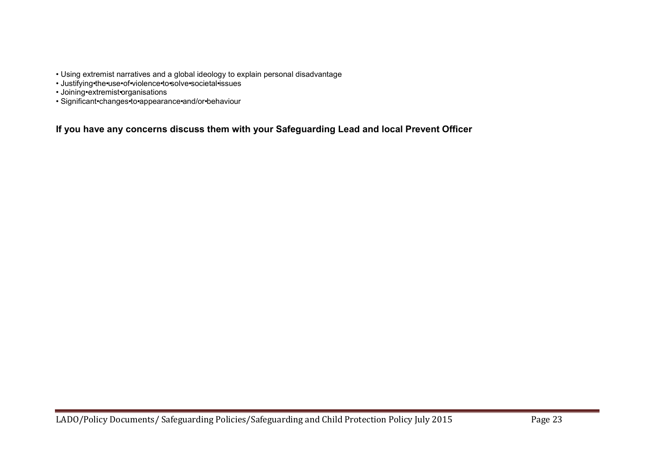- Using extremist narratives and a global ideology to explain personal disadvantage
- Justifying•the•use•of•violence•to•solve•societal•issues
- Joining•extremist•organisations
- Significant•changes•to•appearance•and/or•behaviour

**If you have any concerns discuss them with your Safeguarding Lead and local Prevent Officer**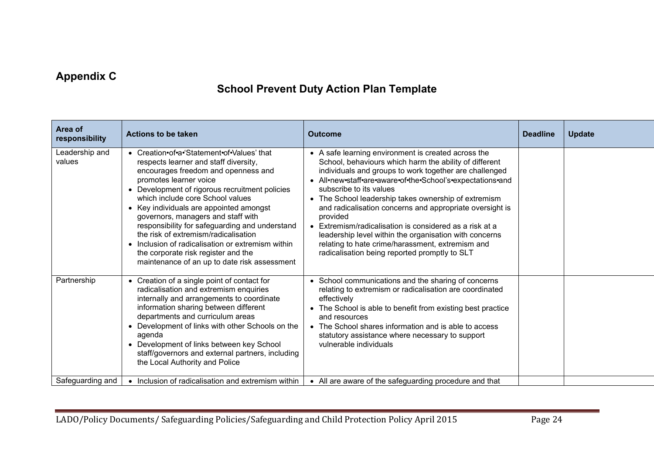# **Appendix C**

# **School Prevent Duty Action Plan Template**

| Area of<br>responsibility | <b>Actions to be taken</b>                                                                                                                                                                                                                                                                                                                                                                                                                                                                                                                                        | <b>Outcome</b>                                                                                                                                                                                                                                                                                                                                                                                                                                                                                                                                                                                                             | <b>Deadline</b> | <b>Update</b> |
|---------------------------|-------------------------------------------------------------------------------------------------------------------------------------------------------------------------------------------------------------------------------------------------------------------------------------------------------------------------------------------------------------------------------------------------------------------------------------------------------------------------------------------------------------------------------------------------------------------|----------------------------------------------------------------------------------------------------------------------------------------------------------------------------------------------------------------------------------------------------------------------------------------------------------------------------------------------------------------------------------------------------------------------------------------------------------------------------------------------------------------------------------------------------------------------------------------------------------------------------|-----------------|---------------|
| Leadership and<br>values  | • Creation•of•a•'Statement•of•Values' that<br>respects learner and staff diversity,<br>encourages freedom and openness and<br>promotes learner voice<br>• Development of rigorous recruitment policies<br>which include core School values<br>• Key individuals are appointed amongst<br>governors, managers and staff with<br>responsibility for safeguarding and understand<br>the risk of extremism/radicalisation<br>• Inclusion of radicalisation or extremism within<br>the corporate risk register and the<br>maintenance of an up to date risk assessment | • A safe learning environment is created across the<br>School, behaviours which harm the ability of different<br>individuals and groups to work together are challenged<br>• All•new•staff•are•aware•of•the•School's•expectations•and<br>subscribe to its values<br>• The School leadership takes ownership of extremism<br>and radicalisation concerns and appropriate oversight is<br>provided<br>• Extremism/radicalisation is considered as a risk at a<br>leadership level within the organisation with concerns<br>relating to hate crime/harassment, extremism and<br>radicalisation being reported promptly to SLT |                 |               |
| Partnership               | • Creation of a single point of contact for<br>radicalisation and extremism enquiries<br>internally and arrangements to coordinate<br>information sharing between different<br>departments and curriculum areas<br>• Development of links with other Schools on the<br>agenda<br>• Development of links between key School<br>staff/governors and external partners, including<br>the Local Authority and Police                                                                                                                                                  | • School communications and the sharing of concerns<br>relating to extremism or radicalisation are coordinated<br>effectively<br>• The School is able to benefit from existing best practice<br>and resources<br>• The School shares information and is able to access<br>statutory assistance where necessary to support<br>vulnerable individuals                                                                                                                                                                                                                                                                        |                 |               |
| Safeguarding and          | • Inclusion of radicalisation and extremism within                                                                                                                                                                                                                                                                                                                                                                                                                                                                                                                | • All are aware of the safeguarding procedure and that                                                                                                                                                                                                                                                                                                                                                                                                                                                                                                                                                                     |                 |               |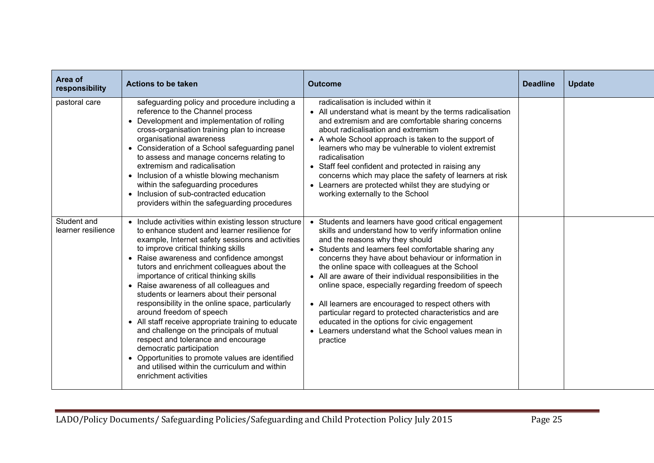| Area of<br>responsibility         | <b>Actions to be taken</b>                                                                                                                                                                                                                                                                                                                                                                                                                                                                                                                                                                                                                                                                                                                                                                                         | <b>Outcome</b>                                                                                                                                                                                                                                                                                                                                                                                                                                                                                                                                                                                                                                                                    | <b>Deadline</b> | <b>Update</b> |
|-----------------------------------|--------------------------------------------------------------------------------------------------------------------------------------------------------------------------------------------------------------------------------------------------------------------------------------------------------------------------------------------------------------------------------------------------------------------------------------------------------------------------------------------------------------------------------------------------------------------------------------------------------------------------------------------------------------------------------------------------------------------------------------------------------------------------------------------------------------------|-----------------------------------------------------------------------------------------------------------------------------------------------------------------------------------------------------------------------------------------------------------------------------------------------------------------------------------------------------------------------------------------------------------------------------------------------------------------------------------------------------------------------------------------------------------------------------------------------------------------------------------------------------------------------------------|-----------------|---------------|
| pastoral care                     | safeguarding policy and procedure including a<br>reference to the Channel process<br>• Development and implementation of rolling<br>cross-organisation training plan to increase<br>organisational awareness<br>• Consideration of a School safeguarding panel<br>to assess and manage concerns relating to<br>extremism and radicalisation<br>• Inclusion of a whistle blowing mechanism<br>within the safeguarding procedures<br>• Inclusion of sub-contracted education<br>providers within the safeguarding procedures                                                                                                                                                                                                                                                                                         | radicalisation is included within it<br>• All understand what is meant by the terms radicalisation<br>and extremism and are comfortable sharing concerns<br>about radicalisation and extremism<br>• A whole School approach is taken to the support of<br>learners who may be vulnerable to violent extremist<br>radicalisation<br>• Staff feel confident and protected in raising any<br>concerns which may place the safety of learners at risk<br>• Learners are protected whilst they are studying or<br>working externally to the School                                                                                                                                     |                 |               |
| Student and<br>learner resilience | • Include activities within existing lesson structure<br>to enhance student and learner resilience for<br>example, Internet safety sessions and activities<br>to improve critical thinking skills<br>• Raise awareness and confidence amongst<br>tutors and enrichment colleagues about the<br>importance of critical thinking skills<br>• Raise awareness of all colleagues and<br>students or learners about their personal<br>responsibility in the online space, particularly<br>around freedom of speech<br>• All staff receive appropriate training to educate<br>and challenge on the principals of mutual<br>respect and tolerance and encourage<br>democratic participation<br>• Opportunities to promote values are identified<br>and utilised within the curriculum and within<br>enrichment activities | • Students and learners have good critical engagement<br>skills and understand how to verify information online<br>and the reasons why they should<br>• Students and learners feel comfortable sharing any<br>concerns they have about behaviour or information in<br>the online space with colleagues at the School<br>• All are aware of their individual responsibilities in the<br>online space, especially regarding freedom of speech<br>• All learners are encouraged to respect others with<br>particular regard to protected characteristics and are<br>educated in the options for civic engagement<br>• Learners understand what the School values mean in<br>practice |                 |               |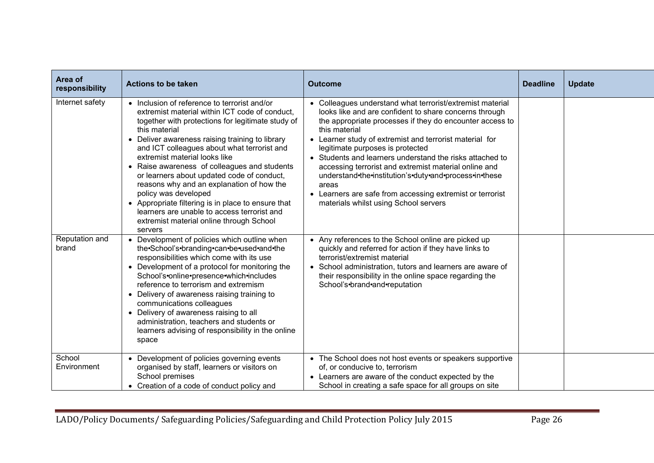| Area of<br>responsibility | <b>Actions to be taken</b>                                                                                                                                                                                                                                                                                                                                                                                                                                                                                                                                                                                                             | <b>Outcome</b>                                                                                                                                                                                                                                                                                                                                                                                                                                                                                                                                                                                | <b>Deadline</b> | <b>Update</b> |
|---------------------------|----------------------------------------------------------------------------------------------------------------------------------------------------------------------------------------------------------------------------------------------------------------------------------------------------------------------------------------------------------------------------------------------------------------------------------------------------------------------------------------------------------------------------------------------------------------------------------------------------------------------------------------|-----------------------------------------------------------------------------------------------------------------------------------------------------------------------------------------------------------------------------------------------------------------------------------------------------------------------------------------------------------------------------------------------------------------------------------------------------------------------------------------------------------------------------------------------------------------------------------------------|-----------------|---------------|
| Internet safety           | • Inclusion of reference to terrorist and/or<br>extremist material within ICT code of conduct,<br>together with protections for legitimate study of<br>this material<br>• Deliver awareness raising training to library<br>and ICT colleagues about what terrorist and<br>extremist material looks like<br>• Raise awareness of colleagues and students<br>or learners about updated code of conduct,<br>reasons why and an explanation of how the<br>policy was developed<br>• Appropriate filtering is in place to ensure that<br>learners are unable to access terrorist and<br>extremist material online through School<br>servers | • Colleagues understand what terrorist/extremist material<br>looks like and are confident to share concerns through<br>the appropriate processes if they do encounter access to<br>this material<br>• Learner study of extremist and terrorist material for<br>legitimate purposes is protected<br>• Students and learners understand the risks attached to<br>accessing terrorist and extremist material online and<br>understand•the•institution's•duty•and•process•in•these<br>areas<br>• Learners are safe from accessing extremist or terrorist<br>materials whilst using School servers |                 |               |
| Reputation and<br>brand   | • Development of policies which outline when<br>the · School's · branding · can · be · used · and · the<br>responsibilities which come with its use<br>• Development of a protocol for monitoring the<br>School's•online•presence•which•includes<br>reference to terrorism and extremism<br>• Delivery of awareness raising training to<br>communications colleagues<br>• Delivery of awareness raising to all<br>administration, teachers and students or<br>learners advising of responsibility in the online<br>space                                                                                                               | • Any references to the School online are picked up<br>quickly and referred for action if they have links to<br>terrorist/extremist material<br>• School administration, tutors and learners are aware of<br>their responsibility in the online space regarding the<br>School's•brand•and•reputation                                                                                                                                                                                                                                                                                          |                 |               |
| School<br>Environment     | • Development of policies governing events<br>organised by staff, learners or visitors on<br>School premises<br>• Creation of a code of conduct policy and                                                                                                                                                                                                                                                                                                                                                                                                                                                                             | • The School does not host events or speakers supportive<br>of, or conducive to, terrorism<br>• Learners are aware of the conduct expected by the<br>School in creating a safe space for all groups on site                                                                                                                                                                                                                                                                                                                                                                                   |                 |               |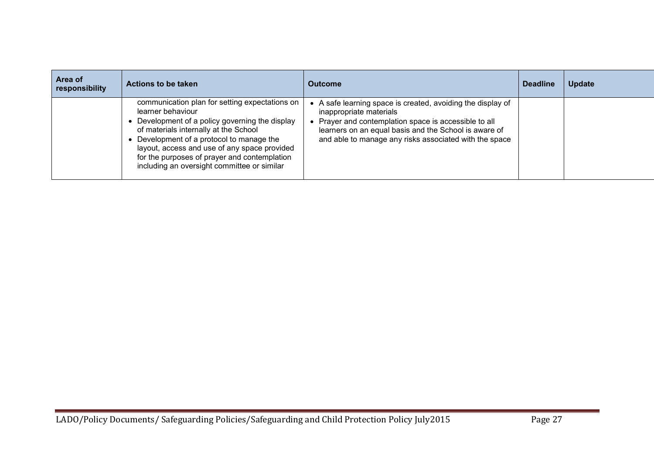| Area of<br>responsibility | Actions to be taken                                                                                                                                                                                                                                                                                                                                     | <b>Outcome</b>                                                                                                                                                                                                                                                     | <b>Deadline</b> | <b>Update</b> |
|---------------------------|---------------------------------------------------------------------------------------------------------------------------------------------------------------------------------------------------------------------------------------------------------------------------------------------------------------------------------------------------------|--------------------------------------------------------------------------------------------------------------------------------------------------------------------------------------------------------------------------------------------------------------------|-----------------|---------------|
|                           | communication plan for setting expectations on<br>learner behaviour<br>Development of a policy governing the display<br>of materials internally at the School<br>Development of a protocol to manage the<br>layout, access and use of any space provided<br>for the purposes of prayer and contemplation<br>including an oversight committee or similar | • A safe learning space is created, avoiding the display of<br>inappropriate materials<br>• Prayer and contemplation space is accessible to all<br>learners on an equal basis and the School is aware of<br>and able to manage any risks associated with the space |                 |               |